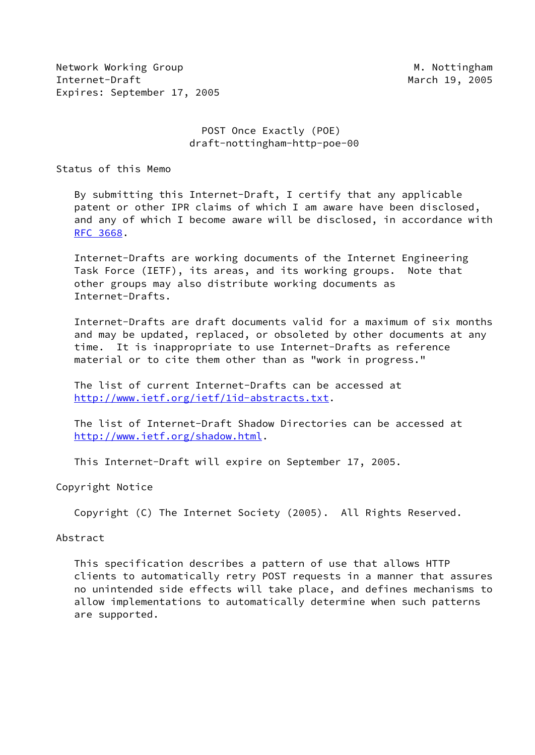Network Working Group Method Muslim Muslim Muslim Muslim Muslim Muslim Muslim Muslim Muslim Muslim Muslim Musl Internet-Draft March 19, 2005 Expires: September 17, 2005

 POST Once Exactly (POE) draft-nottingham-http-poe-00

Status of this Memo

 By submitting this Internet-Draft, I certify that any applicable patent or other IPR claims of which I am aware have been disclosed, and any of which I become aware will be disclosed, in accordance with [RFC 3668](https://datatracker.ietf.org/doc/pdf/rfc3668).

 Internet-Drafts are working documents of the Internet Engineering Task Force (IETF), its areas, and its working groups. Note that other groups may also distribute working documents as Internet-Drafts.

 Internet-Drafts are draft documents valid for a maximum of six months and may be updated, replaced, or obsoleted by other documents at any time. It is inappropriate to use Internet-Drafts as reference material or to cite them other than as "work in progress."

 The list of current Internet-Drafts can be accessed at <http://www.ietf.org/ietf/1id-abstracts.txt>.

 The list of Internet-Draft Shadow Directories can be accessed at <http://www.ietf.org/shadow.html>.

This Internet-Draft will expire on September 17, 2005.

#### Copyright Notice

Copyright (C) The Internet Society (2005). All Rights Reserved.

#### Abstract

 This specification describes a pattern of use that allows HTTP clients to automatically retry POST requests in a manner that assures no unintended side effects will take place, and defines mechanisms to allow implementations to automatically determine when such patterns are supported.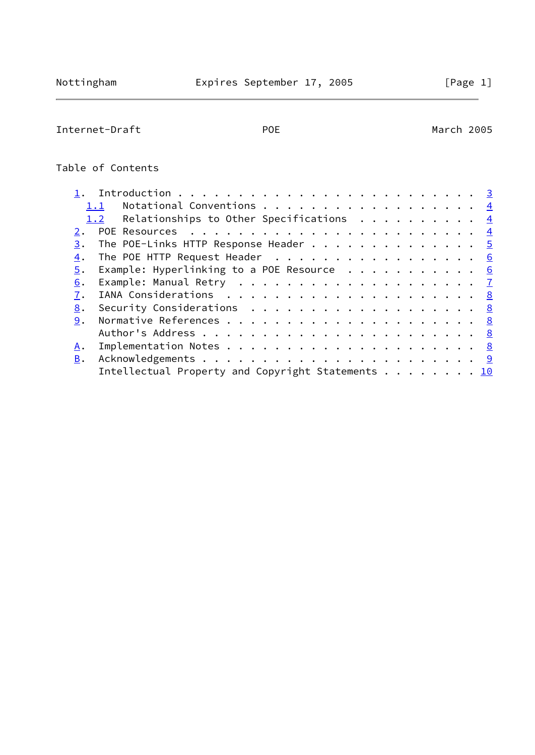$\overline{\phantom{0}}$ 

# Internet-Draft POE POE March 2005

# Table of Contents

| Notational Conventions $\frac{4}{5}$<br>1.1                                                                         |  |  |  |  |  |
|---------------------------------------------------------------------------------------------------------------------|--|--|--|--|--|
| 1.2 Relationships to Other Specifications $\frac{4}{1}$                                                             |  |  |  |  |  |
|                                                                                                                     |  |  |  |  |  |
| The POE-Links HTTP Response Header 5<br>3.                                                                          |  |  |  |  |  |
| The POE HTTP Request Header 6<br>4.                                                                                 |  |  |  |  |  |
| Example: Hyperlinking to a POE Resource $\cdot \cdot \cdot \cdot \cdot \cdot \cdot \cdot \cdot \cdot \cdot 6$<br>5. |  |  |  |  |  |
| 6.                                                                                                                  |  |  |  |  |  |
| 7.                                                                                                                  |  |  |  |  |  |
| 8.                                                                                                                  |  |  |  |  |  |
| 9.                                                                                                                  |  |  |  |  |  |
|                                                                                                                     |  |  |  |  |  |
| Α.                                                                                                                  |  |  |  |  |  |
| <b>B.</b>                                                                                                           |  |  |  |  |  |
| Intellectual Property and Copyright Statements $\ldots$ 10                                                          |  |  |  |  |  |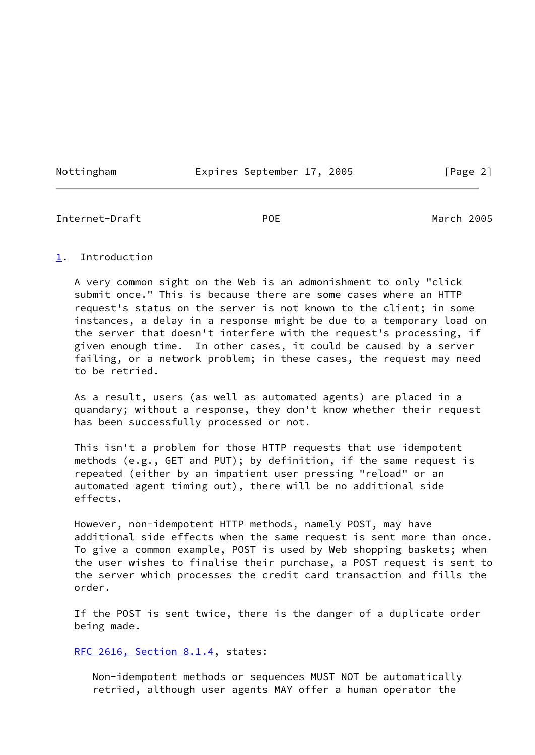Nottingham Expires September 17, 2005 [Page 2]

<span id="page-2-1"></span>Internet-Draft POE March 2005

### <span id="page-2-0"></span>[1](#page-2-0). Introduction

 A very common sight on the Web is an admonishment to only "click submit once." This is because there are some cases where an HTTP request's status on the server is not known to the client; in some instances, a delay in a response might be due to a temporary load on the server that doesn't interfere with the request's processing, if given enough time. In other cases, it could be caused by a server failing, or a network problem; in these cases, the request may need to be retried.

 As a result, users (as well as automated agents) are placed in a quandary; without a response, they don't know whether their request has been successfully processed or not.

 This isn't a problem for those HTTP requests that use idempotent methods (e.g., GET and PUT); by definition, if the same request is repeated (either by an impatient user pressing "reload" or an automated agent timing out), there will be no additional side effects.

 However, non-idempotent HTTP methods, namely POST, may have additional side effects when the same request is sent more than once. To give a common example, POST is used by Web shopping baskets; when the user wishes to finalise their purchase, a POST request is sent to the server which processes the credit card transaction and fills the order.

 If the POST is sent twice, there is the danger of a duplicate order being made.

[RFC 2616, Section](https://datatracker.ietf.org/doc/pdf/rfc2616#section-8.1.4) 8.1.4, states:

 Non-idempotent methods or sequences MUST NOT be automatically retried, although user agents MAY offer a human operator the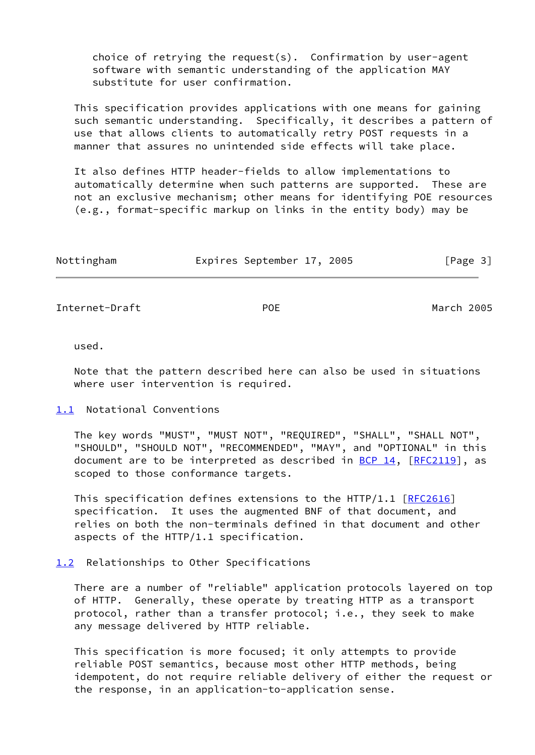choice of retrying the request(s). Confirmation by user-agent software with semantic understanding of the application MAY substitute for user confirmation.

 This specification provides applications with one means for gaining such semantic understanding. Specifically, it describes a pattern of use that allows clients to automatically retry POST requests in a manner that assures no unintended side effects will take place.

 It also defines HTTP header-fields to allow implementations to automatically determine when such patterns are supported. These are not an exclusive mechanism; other means for identifying POE resources (e.g., format-specific markup on links in the entity body) may be

| Nottingham | Expires September 17, 2005 |  | [Page 3] |  |
|------------|----------------------------|--|----------|--|
|            |                            |  |          |  |

<span id="page-3-1"></span>Internet-Draft POE March 2005

used.

 Note that the pattern described here can also be used in situations where user intervention is required.

### <span id="page-3-0"></span>[1.1](#page-3-0) Notational Conventions

 The key words "MUST", "MUST NOT", "REQUIRED", "SHALL", "SHALL NOT", "SHOULD", "SHOULD NOT", "RECOMMENDED", "MAY", and "OPTIONAL" in this document are to be interpreted as described in  $BCP$  14,  $[RFC2119]$  $[RFC2119]$ , as scoped to those conformance targets.

This specification defines extensions to the HTTP/1.1  $[REC2616]$  specification. It uses the augmented BNF of that document, and relies on both the non-terminals defined in that document and other aspects of the HTTP/1.1 specification.

## <span id="page-3-2"></span>[1.2](#page-3-2) Relationships to Other Specifications

 There are a number of "reliable" application protocols layered on top of HTTP. Generally, these operate by treating HTTP as a transport protocol, rather than a transfer protocol; i.e., they seek to make any message delivered by HTTP reliable.

 This specification is more focused; it only attempts to provide reliable POST semantics, because most other HTTP methods, being idempotent, do not require reliable delivery of either the request or the response, in an application-to-application sense.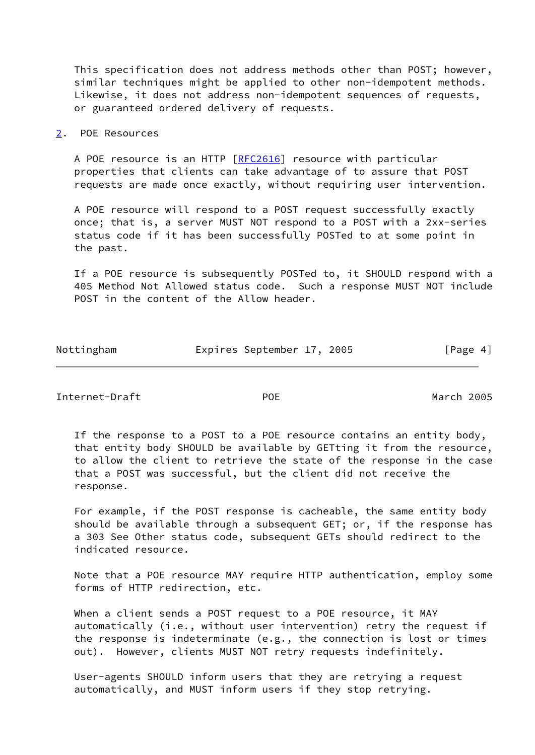This specification does not address methods other than POST; however, similar techniques might be applied to other non-idempotent methods. Likewise, it does not address non-idempotent sequences of requests, or guaranteed ordered delivery of requests.

#### <span id="page-4-0"></span>[2](#page-4-0). POE Resources

 A POE resource is an HTTP [[RFC2616](https://datatracker.ietf.org/doc/pdf/rfc2616)] resource with particular properties that clients can take advantage of to assure that POST requests are made once exactly, without requiring user intervention.

 A POE resource will respond to a POST request successfully exactly once; that is, a server MUST NOT respond to a POST with a 2xx-series status code if it has been successfully POSTed to at some point in the past.

 If a POE resource is subsequently POSTed to, it SHOULD respond with a 405 Method Not Allowed status code. Such a response MUST NOT include POST in the content of the Allow header.

| Nottingham | Expires September 17, 2005 |  | [Page 4] |
|------------|----------------------------|--|----------|
|            |                            |  |          |

<span id="page-4-1"></span>Internet-Draft POE March 2005

 If the response to a POST to a POE resource contains an entity body, that entity body SHOULD be available by GETting it from the resource, to allow the client to retrieve the state of the response in the case that a POST was successful, but the client did not receive the response.

 For example, if the POST response is cacheable, the same entity body should be available through a subsequent GET; or, if the response has a 303 See Other status code, subsequent GETs should redirect to the indicated resource.

 Note that a POE resource MAY require HTTP authentication, employ some forms of HTTP redirection, etc.

 When a client sends a POST request to a POE resource, it MAY automatically (i.e., without user intervention) retry the request if the response is indeterminate (e.g., the connection is lost or times out). However, clients MUST NOT retry requests indefinitely.

 User-agents SHOULD inform users that they are retrying a request automatically, and MUST inform users if they stop retrying.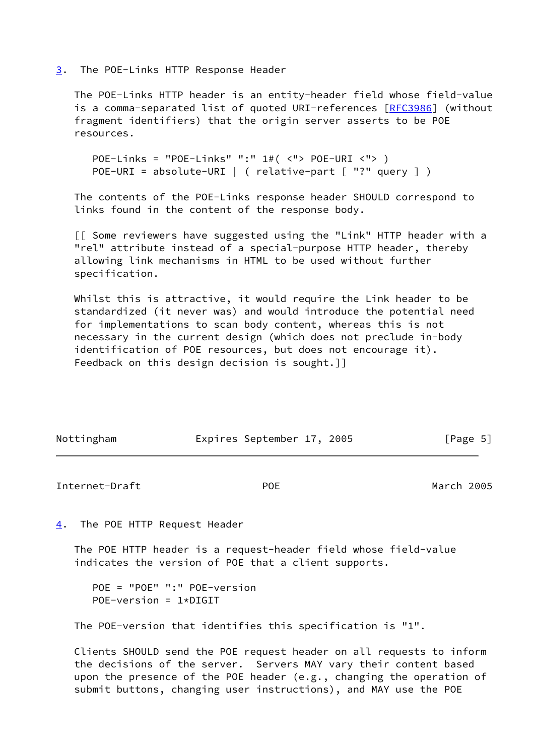#### <span id="page-5-0"></span>[3](#page-5-0). The POE-Links HTTP Response Header

 The POE-Links HTTP header is an entity-header field whose field-value is a comma-separated list of quoted URI-references [[RFC3986\]](https://datatracker.ietf.org/doc/pdf/rfc3986) (without fragment identifiers) that the origin server asserts to be POE resources.

 POE-Links = "POE-Links" ":" 1#( <"> POE-URI <"> ) POE-URI = absolute-URI | ( relative-part [ "?" query ] )

 The contents of the POE-Links response header SHOULD correspond to links found in the content of the response body.

 [[ Some reviewers have suggested using the "Link" HTTP header with a "rel" attribute instead of a special-purpose HTTP header, thereby allowing link mechanisms in HTML to be used without further specification.

 Whilst this is attractive, it would require the Link header to be standardized (it never was) and would introduce the potential need for implementations to scan body content, whereas this is not necessary in the current design (which does not preclude in-body identification of POE resources, but does not encourage it). Feedback on this design decision is sought.]]

<span id="page-5-2"></span>

| Nottingham     | Expires September 17, 2005 | [Page 5]   |
|----------------|----------------------------|------------|
| Internet-Draft | <b>POE</b>                 | March 2005 |

<span id="page-5-1"></span>[4](#page-5-1). The POE HTTP Request Header

 The POE HTTP header is a request-header field whose field-value indicates the version of POE that a client supports.

```
 POE = "POE" ":" POE-version
POE-version = 1*DIGIT
```
The POE-version that identifies this specification is "1".

 Clients SHOULD send the POE request header on all requests to inform the decisions of the server. Servers MAY vary their content based upon the presence of the POE header (e.g., changing the operation of submit buttons, changing user instructions), and MAY use the POE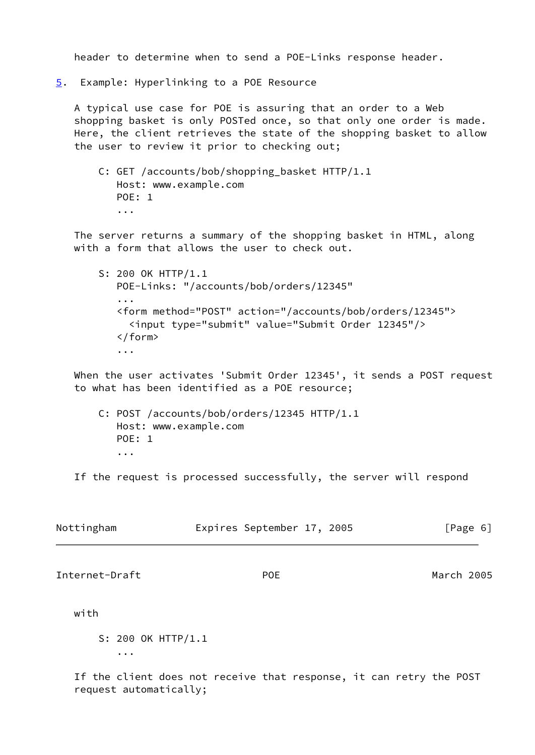header to determine when to send a POE-Links response header.

<span id="page-6-0"></span>[5](#page-6-0). Example: Hyperlinking to a POE Resource

 A typical use case for POE is assuring that an order to a Web shopping basket is only POSTed once, so that only one order is made. Here, the client retrieves the state of the shopping basket to allow the user to review it prior to checking out;

 C: GET /accounts/bob/shopping\_basket HTTP/1.1 Host: www.example.com POE: 1 ...

 The server returns a summary of the shopping basket in HTML, along with a form that allows the user to check out.

 S: 200 OK HTTP/1.1 POE-Links: "/accounts/bob/orders/12345" ... <form method="POST" action="/accounts/bob/orders/12345"> <input type="submit" value="Submit Order 12345"/> </form> ...

 When the user activates 'Submit Order 12345', it sends a POST request to what has been identified as a POE resource;

 C: POST /accounts/bob/orders/12345 HTTP/1.1 Host: www.example.com POE: 1 ...

If the request is processed successfully, the server will respond

<span id="page-6-1"></span>

| Nottingham         | Expires September 17, 2005 | [Page 6]   |  |  |
|--------------------|----------------------------|------------|--|--|
| Internet-Draft     | <b>POE</b>                 | March 2005 |  |  |
| with               |                            |            |  |  |
| S: 200 OK HTTP/1.1 |                            |            |  |  |
| $\cdots$           |                            |            |  |  |

 If the client does not receive that response, it can retry the POST request automatically;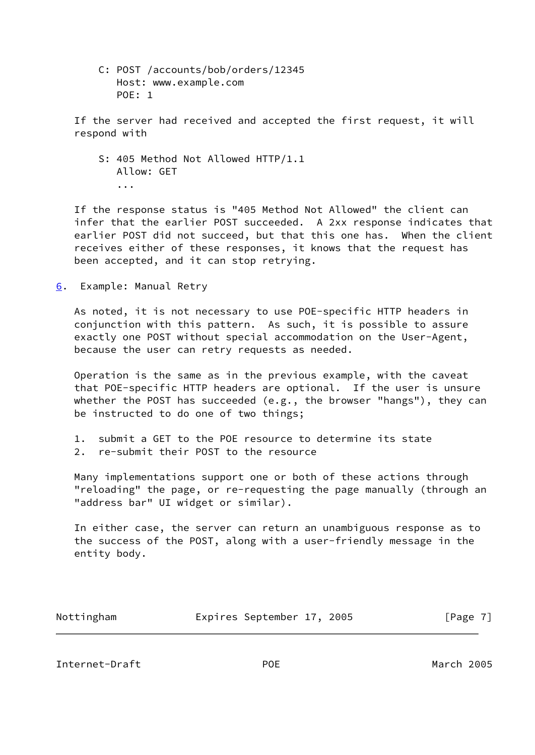C: POST /accounts/bob/orders/12345 Host: www.example.com POE: 1

 If the server had received and accepted the first request, it will respond with

 S: 405 Method Not Allowed HTTP/1.1 Allow: GET ...

 If the response status is "405 Method Not Allowed" the client can infer that the earlier POST succeeded. A 2xx response indicates that earlier POST did not succeed, but that this one has. When the client receives either of these responses, it knows that the request has been accepted, and it can stop retrying.

<span id="page-7-0"></span>[6](#page-7-0). Example: Manual Retry

 As noted, it is not necessary to use POE-specific HTTP headers in conjunction with this pattern. As such, it is possible to assure exactly one POST without special accommodation on the User-Agent, because the user can retry requests as needed.

 Operation is the same as in the previous example, with the caveat that POE-specific HTTP headers are optional. If the user is unsure whether the POST has succeeded (e.g., the browser "hangs"), they can be instructed to do one of two things;

 1. submit a GET to the POE resource to determine its state 2. re-submit their POST to the resource

 Many implementations support one or both of these actions through "reloading" the page, or re-requesting the page manually (through an "address bar" UI widget or similar).

 In either case, the server can return an unambiguous response as to the success of the POST, along with a user-friendly message in the entity body.

| Nottingham | Expires September 17, 2005 |  | [Page 7] |
|------------|----------------------------|--|----------|

<span id="page-7-1"></span>Internet-Draft POE March 2005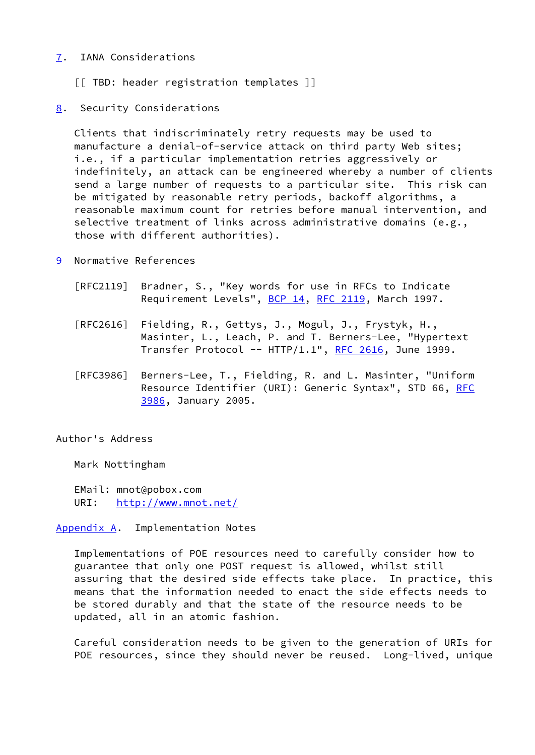## <span id="page-8-0"></span>[7](#page-8-0). IANA Considerations

- [[ TBD: header registration templates ]]
- <span id="page-8-1"></span>[8](#page-8-1). Security Considerations

 Clients that indiscriminately retry requests may be used to manufacture a denial-of-service attack on third party Web sites; i.e., if a particular implementation retries aggressively or indefinitely, an attack can be engineered whereby a number of clients send a large number of requests to a particular site. This risk can be mitigated by reasonable retry periods, backoff algorithms, a reasonable maximum count for retries before manual intervention, and selective treatment of links across administrative domains (e.g., those with different authorities).

- <span id="page-8-2"></span>[9](#page-8-2) Normative References
	- [RFC2119] Bradner, S., "Key words for use in RFCs to Indicate Requirement Levels", [BCP 14](https://datatracker.ietf.org/doc/pdf/bcp14), [RFC 2119](https://datatracker.ietf.org/doc/pdf/rfc2119), March 1997.
	- [RFC2616] Fielding, R., Gettys, J., Mogul, J., Frystyk, H., Masinter, L., Leach, P. and T. Berners-Lee, "Hypertext Transfer Protocol --  $HTTP/1.1$ ", [RFC 2616,](https://datatracker.ietf.org/doc/pdf/rfc2616) June 1999.
	- [RFC3986] Berners-Lee, T., Fielding, R. and L. Masinter, "Uniform Resource Identifier (URI): Generic Syntax", STD 66, [RFC](https://datatracker.ietf.org/doc/pdf/rfc3986) [3986,](https://datatracker.ietf.org/doc/pdf/rfc3986) January 2005.

### Author's Address

Mark Nottingham

 EMail: mnot@pobox.com URI: <http://www.mnot.net/>

<span id="page-8-3"></span>[Appendix A.](#page-8-3) Implementation Notes

 Implementations of POE resources need to carefully consider how to guarantee that only one POST request is allowed, whilst still assuring that the desired side effects take place. In practice, this means that the information needed to enact the side effects needs to be stored durably and that the state of the resource needs to be updated, all in an atomic fashion.

 Careful consideration needs to be given to the generation of URIs for POE resources, since they should never be reused. Long-lived, unique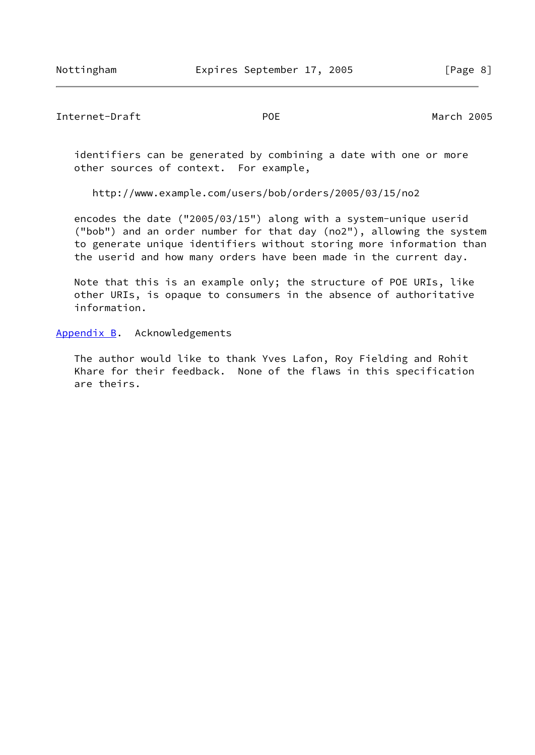<span id="page-9-1"></span>Internet-Draft POE March 2005

 identifiers can be generated by combining a date with one or more other sources of context. For example,

http://www.example.com/users/bob/orders/2005/03/15/no2

 encodes the date ("2005/03/15") along with a system-unique userid ("bob") and an order number for that day (no2"), allowing the system to generate unique identifiers without storing more information than the userid and how many orders have been made in the current day.

 Note that this is an example only; the structure of POE URIs, like other URIs, is opaque to consumers in the absence of authoritative information.

<span id="page-9-0"></span>[Appendix B.](#page-9-0) Acknowledgements

 The author would like to thank Yves Lafon, Roy Fielding and Rohit Khare for their feedback. None of the flaws in this specification are theirs.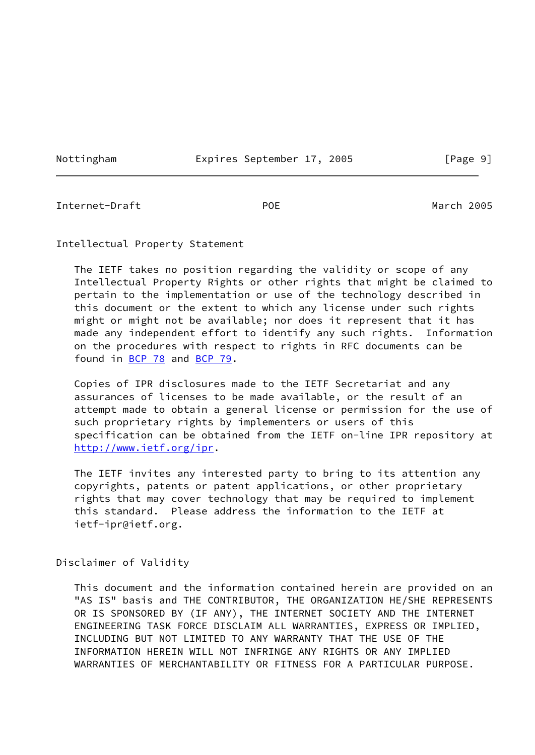Nottingham **Expires September 17, 2005** [Page 9]

<span id="page-10-0"></span>Internet-Draft POE March 2005

Intellectual Property Statement

 The IETF takes no position regarding the validity or scope of any Intellectual Property Rights or other rights that might be claimed to pertain to the implementation or use of the technology described in this document or the extent to which any license under such rights might or might not be available; nor does it represent that it has made any independent effort to identify any such rights. Information on the procedures with respect to rights in RFC documents can be found in [BCP 78](https://datatracker.ietf.org/doc/pdf/bcp78) and [BCP 79](https://datatracker.ietf.org/doc/pdf/bcp79).

 Copies of IPR disclosures made to the IETF Secretariat and any assurances of licenses to be made available, or the result of an attempt made to obtain a general license or permission for the use of such proprietary rights by implementers or users of this specification can be obtained from the IETF on-line IPR repository at <http://www.ietf.org/ipr>.

 The IETF invites any interested party to bring to its attention any copyrights, patents or patent applications, or other proprietary rights that may cover technology that may be required to implement this standard. Please address the information to the IETF at ietf-ipr@ietf.org.

Disclaimer of Validity

 This document and the information contained herein are provided on an "AS IS" basis and THE CONTRIBUTOR, THE ORGANIZATION HE/SHE REPRESENTS OR IS SPONSORED BY (IF ANY), THE INTERNET SOCIETY AND THE INTERNET ENGINEERING TASK FORCE DISCLAIM ALL WARRANTIES, EXPRESS OR IMPLIED, INCLUDING BUT NOT LIMITED TO ANY WARRANTY THAT THE USE OF THE INFORMATION HEREIN WILL NOT INFRINGE ANY RIGHTS OR ANY IMPLIED WARRANTIES OF MERCHANTABILITY OR FITNESS FOR A PARTICULAR PURPOSE.